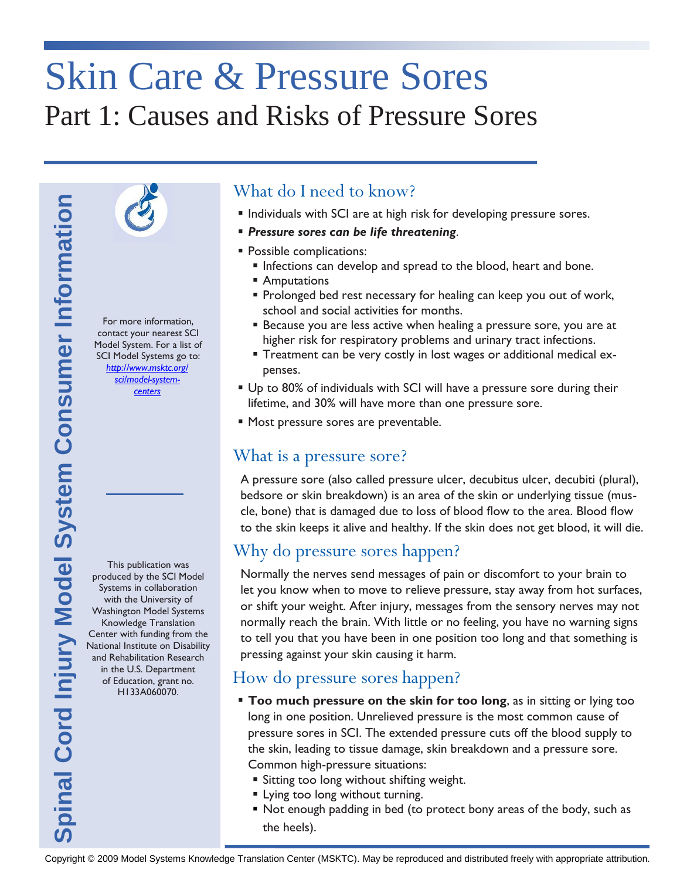# Skin Care & Pressure Sores Part 1: Causes and Risks of Pressure Sores



For more information, contact your nearest SCI Model System. For a list of SCI Model Systems go to: *[http://www.msktc.org/](http://www.msktc.org/sci/model-system-centers) [sci/model-system](http://www.msktc.org/sci/model-system-centers)[centers](http://www.msktc.org/sci/model-system-centers)*

This publication was produced by the SCI Model Systems in collaboration with the University of Washington Model Systems Knowledge Translation Center with funding from the National Institute on Disability and Rehabilitation Research in the U.S. Department of Education, grant no. H133A060070.

## What do I need to know?

- **Individuals with SCI are at high risk for developing pressure sores.**
- *Pressure sores can be life threatening*.
- **Possible complications:** 
	- **Infections can develop and spread to the blood, heart and bone.**
	- Amputations
	- **Prolonged bed rest necessary for healing can keep you out of work,** school and social activities for months.
	- **Because you are less active when healing a pressure sore, you are at** higher risk for respiratory problems and urinary tract infections.
	- Treatment can be very costly in lost wages or additional medical expenses.
- Up to 80% of individuals with SCI will have a pressure sore during their lifetime, and 30% will have more than one pressure sore.
- **Most pressure sores are preventable.**

## What is a pressure sore?

A pressure sore (also called pressure ulcer, decubitus ulcer, decubiti (plural), bedsore or skin breakdown) is an area of the skin or underlying tissue (muscle, bone) that is damaged due to loss of blood flow to the area. Blood flow to the skin keeps it alive and healthy. If the skin does not get blood, it will die.

## Why do pressure sores happen?

Copyright Consumer Translation Center Center Center (MSKTC). However, the complete Translation Center Center (MSKTC). However, the complete Cord International Cord International Cord International Cord International Cord I Normally the nerves send messages of pain or discomfort to your brain to let you know when to move to relieve pressure, stay away from hot surfaces, or shift your weight. After injury, messages from the sensory nerves may not normally reach the brain. With little or no feeling, you have no warning signs to tell you that you have been in one position too long and that something is pressing against your skin causing it harm.

## How do pressure sores happen?

- **Too much pressure on the skin for too long**, as in sitting or lying too long in one position. Unrelieved pressure is the most common cause of pressure sores in SCI. The extended pressure cuts off the blood supply to the skin, leading to tissue damage, skin breakdown and a pressure sore. Common high-pressure situations:
	- Sitting too long without shifting weight.
	- **Example 1** Lying too long without turning.
	- Not enough padding in bed (to protect bony areas of the body, such as the heels).